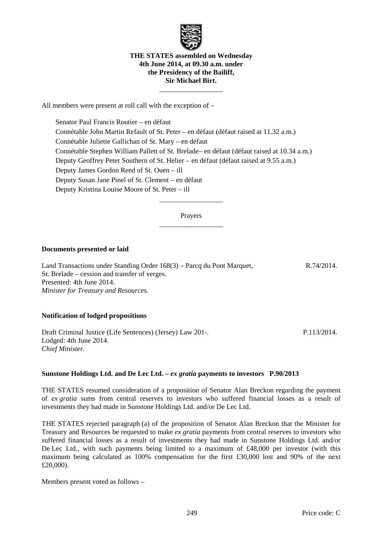

# **THE STATES assembled on Wednesday 4th June 2014, at 09.30 a.m. under the Presidency of the Bailiff, Sir Michael Birt.**

 $\frac{1}{\sqrt{2\pi}}\left[\frac{1}{\sqrt{2\pi}}\frac{1}{\sqrt{2\pi}}\frac{1}{\sqrt{2\pi}}\frac{1}{\sqrt{2\pi}}\frac{1}{\sqrt{2\pi}}\frac{1}{\sqrt{2\pi}}\frac{1}{\sqrt{2\pi}}\frac{1}{\sqrt{2\pi}}\frac{1}{\sqrt{2\pi}}\frac{1}{\sqrt{2\pi}}\frac{1}{\sqrt{2\pi}}\frac{1}{\sqrt{2\pi}}\frac{1}{\sqrt{2\pi}}\frac{1}{\sqrt{2\pi}}\frac{1}{\sqrt{2\pi}}\frac{1}{\sqrt{2\pi}}\frac{1}{\sqrt{2\pi}}\frac$ 

All members were present at roll call with the exception of –

 Senator Paul Francis Routier – en défaut Connétable John Martin Refault of St. Peter – en défaut (défaut raised at 11.32 a.m.) Connétable Juliette Gallichan of St. Mary – en défaut Connétable Stephen William Pallett of St. Brelade– en défaut (défaut raised at 10.34 a.m.) Deputy Geoffrey Peter Southern of St. Helier – en défaut (défaut raised at 9.55 a.m.) Deputy James Gordon Reed of St. Ouen – ill Deputy Susan Jane Pinel of St. Clement – en défaut Deputy Kristina Louise Moore of St. Peter – ill

> Prayers  $\frac{1}{\sqrt{2\pi}}\left[\frac{1}{\sqrt{2\pi}}\frac{1}{\sqrt{2\pi}}\frac{1}{\sqrt{2\pi}}\frac{1}{\sqrt{2\pi}}\frac{1}{\sqrt{2\pi}}\frac{1}{\sqrt{2\pi}}\frac{1}{\sqrt{2\pi}}\frac{1}{\sqrt{2\pi}}\frac{1}{\sqrt{2\pi}}\frac{1}{\sqrt{2\pi}}\frac{1}{\sqrt{2\pi}}\frac{1}{\sqrt{2\pi}}\frac{1}{\sqrt{2\pi}}\frac{1}{\sqrt{2\pi}}\frac{1}{\sqrt{2\pi}}\frac{1}{\sqrt{2\pi}}\frac{1}{\sqrt{2\pi}}\frac$

> $\frac{1}{\sqrt{2\pi}}\left[\frac{1}{\sqrt{2\pi}}\frac{1}{\sqrt{2\pi}}\frac{1}{\sqrt{2\pi}}\frac{1}{\sqrt{2\pi}}\frac{1}{\sqrt{2\pi}}\frac{1}{\sqrt{2\pi}}\frac{1}{\sqrt{2\pi}}\frac{1}{\sqrt{2\pi}}\frac{1}{\sqrt{2\pi}}\frac{1}{\sqrt{2\pi}}\frac{1}{\sqrt{2\pi}}\frac{1}{\sqrt{2\pi}}\frac{1}{\sqrt{2\pi}}\frac{1}{\sqrt{2\pi}}\frac{1}{\sqrt{2\pi}}\frac{1}{\sqrt{2\pi}}\frac{1}{\sqrt{2\pi}}\frac$

# **Documents presented or laid**

Land Transactions under Standing Order 168(3) – Parcq du Pont Marquet, St. Brelade – cession and transfer of verges. Presented: 4th June 2014. *Minister for Treasury and Resources.*  R.74/2014.

# **Notification of lodged propositions**

Draft Criminal Justice (Life Sentences) (Jersey) Law 201-. Lodged: 4th June 2014. *Chief Minister.*  P.113/2014.

# **Sunstone Holdings Ltd. and De Lec Ltd. –** *ex gratia* **payments to investors P.90/2013**

THE STATES resumed consideration of a proposition of Senator Alan Breckon regarding the payment of *ex gratia* sums from central reserves to investors who suffered financial losses as a result of investments they had made in Sunstone Holdings Ltd. and/or De Lec Ltd.

THE STATES rejected paragraph (a) of the proposition of Senator Alan Breckon that the Minister for Treasury and Resources be requested to make *ex gratia* payments from central reserves to investors who suffered financial losses as a result of investments they had made in Sunstone Holdings Ltd. and/or De Lec Ltd., with such payments being limited to a maximum of £48,000 per investor (with this maximum being calculated as 100% compensation for the first £30,000 lost and 90% of the next £20,000).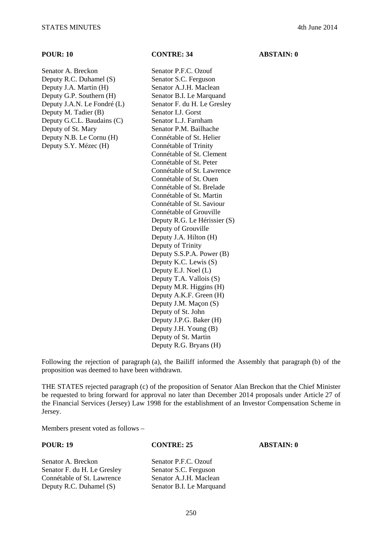Senator A. Breckon Senator P.F.C. Ozouf Deputy R.C. Duhamel (S) Senator S.C. Ferguson Deputy J.A. Martin (H) Senator A.J.H. Maclean Deputy G.P. Southern (H) Senator B.I. Le Marquand Deputy J.A.N. Le Fondré (L) Senator F. du H. Le Gresley Deputy M. Tadier (B) Senator I.J. Gorst Deputy G.C.L. Baudains (C) Senator L.J. Farnham Deputy of St. Mary Senator P.M. Bailhache Deputy N.B. Le Cornu (H) Connétable of St. Helier Deputy S.Y. Mézec (H) Connétable of Trinity

**POUR: 10 CONTRE: 34 ABSTAIN: 0** 

Connétable of St. Clement Connétable of St. Peter Connétable of St. Lawrence Connétable of St. Ouen Connétable of St. Brelade Connétable of St. Martin Connétable of St. Saviour Connétable of Grouville Deputy R.G. Le Hérissier (S) Deputy of Grouville Deputy J.A. Hilton (H) Deputy of Trinity Deputy S.S.P.A. Power (B) Deputy K.C. Lewis (S) Deputy E.J. Noel (L) Deputy T.A. Vallois (S) Deputy M.R. Higgins (H) Deputy A.K.F. Green (H) Deputy J.M. Maçon (S) Deputy of St. John Deputy J.P.G. Baker (H) Deputy J.H. Young (B) Deputy of St. Martin Deputy R.G. Bryans (H)

Following the rejection of paragraph (a), the Bailiff informed the Assembly that paragraph (b) of the proposition was deemed to have been withdrawn.

THE STATES rejected paragraph (c) of the proposition of Senator Alan Breckon that the Chief Minister be requested to bring forward for approval no later than December 2014 proposals under Article 27 of the Financial Services (Jersey) Law 1998 for the establishment of an Investor Compensation Scheme in Jersey.

Members present voted as follows –

**POUR: 19 CONTRE: 25 ABSTAIN: 0** 

Senator A. Breckon Senator P.F.C. Ozouf Senator F. du H. Le Gresley Senator S.C. Ferguson Connétable of St. Lawrence Senator A.J.H. Maclean Deputy R.C. Duhamel (S) Senator B.I. Le Marquand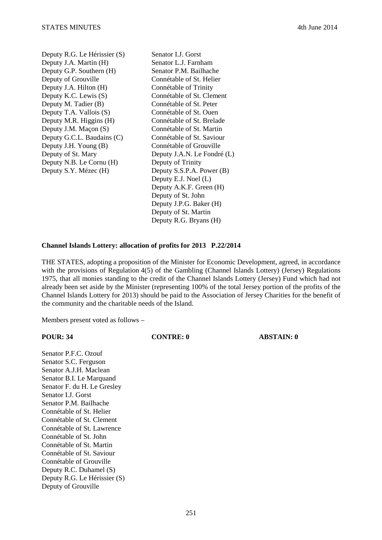| Deputy R.G. Le Hérissier (S) |
|------------------------------|
| Deputy J.A. Martin (H)       |
| Deputy G.P. Southern (H)     |
| Deputy of Grouville          |
| Deputy J.A. Hilton (H)       |
| Deputy K.C. Lewis (S)        |
| Deputy M. Tadier (B)         |
| Deputy T.A. Vallois (S)      |
| Deputy M.R. Higgins (H)      |
| Deputy J.M. Maçon (S)        |
| Deputy G.C.L. Baudains (C)   |
| Deputy J.H. Young (B)        |
| Deputy of St. Mary           |
| Deputy N.B. Le Cornu (H)     |
| Deputy S.Y. Mézec (H)        |
|                              |

Senator L.J. Gorst Senator L.J. Farnham Senator P.M. Bailhache Connétable of St. Helier Connétable of Trinity Connétable of St. Clement Connétable of St. Peter Connétable of St. Ouen Connétable of St. Brelade Connétable of St. Martin Connétable of St. Saviour Connétable of Grouville Deputy J.A.N. Le Fondré (L) Deputy of Trinity Deputy S.S.P.A. Power  $(B)$ Deputy E.J. Noel (L) Deputy A.K.F. Green (H) Deputy of St. John Deputy J.P.G. Baker (H) Deputy of St. Martin Deputy R.G. Bryans (H)

### **Channel Islands Lottery: allocation of profits for 2013 P.22/2014**

THE STATES, adopting a proposition of the Minister for Economic Development, agreed, in accordance with the provisions of Regulation 4(5) of the Gambling (Channel Islands Lottery) (Jersey) Regulations 1975, that all monies standing to the credit of the Channel Islands Lottery (Jersey) Fund which had not already been set aside by the Minister (representing 100% of the total Jersey portion of the profits of the Channel Islands Lottery for 2013) should be paid to the Association of Jersey Charities for the benefit of the community and the charitable needs of the Island.

Members present voted as follows –

**POUR: 34 CONTRE: 0 ABSTAIN: 0** 

Senator P.F.C. Ozouf Senator S.C. Ferguson Senator A.J.H. Maclean Senator B.I. Le Marquand Senator F. du H. Le Gresley Senator I.J. Gorst Senator P.M. Bailhache Connétable of St. Helier Connétable of St. Clement Connétable of St. Lawrence Connétable of St. John Connétable of St. Martin Connétable of St. Saviour Connétable of Grouville Deputy R.C. Duhamel (S) Deputy R.G. Le Hérissier (S) Deputy of Grouville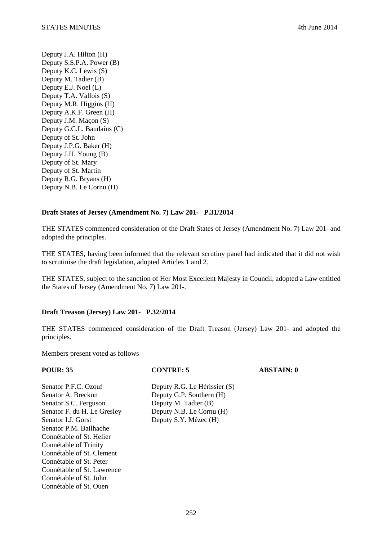Deputy J.A. Hilton (H) Deputy S.S.P.A. Power (B) Deputy K.C. Lewis (S) Deputy M. Tadier (B) Deputy E.J. Noel (L) Deputy T.A. Vallois (S) Deputy M.R. Higgins (H) Deputy A.K.F. Green (H) Deputy J.M. Maçon (S) Deputy G.C.L. Baudains (C) Deputy of St. John Deputy J.P.G. Baker (H) Deputy J.H. Young (B) Deputy of St. Mary Deputy of St. Martin Deputy R.G. Bryans (H) Deputy N.B. Le Cornu (H)

# **Draft States of Jersey (Amendment No. 7) Law 201- P.31/2014**

THE STATES commenced consideration of the Draft States of Jersey (Amendment No. 7) Law 201- and adopted the principles.

THE STATES, having been informed that the relevant scrutiny panel had indicated that it did not wish to scrutinise the draft legislation, adopted Articles 1 and 2.

THE STATES, subject to the sanction of Her Most Excellent Majesty in Council, adopted a Law entitled the States of Jersey (Amendment No. 7) Law 201-.

# **Draft Treason (Jersey) Law 201- P.32/2014**

THE STATES commenced consideration of the Draft Treason (Jersey) Law 201- and adopted the principles.

| <b>POUR: 35</b>             | <b>CONTRE: 5</b>             | <b>ABSTAIN: 0</b> |
|-----------------------------|------------------------------|-------------------|
| Senator P.F.C. Ozouf        | Deputy R.G. Le Hérissier (S) |                   |
| Senator A. Breckon          | Deputy G.P. Southern (H)     |                   |
| Senator S.C. Ferguson       | Deputy M. Tadier (B)         |                   |
| Senator F. du H. Le Gresley | Deputy N.B. Le Cornu (H)     |                   |
| Senator L.J. Gorst          | Deputy S.Y. Mézec (H)        |                   |
| Senator P.M. Bailhache      |                              |                   |
| Connétable of St. Helier    |                              |                   |
| Connétable of Trinity       |                              |                   |
| Connétable of St. Clement   |                              |                   |
| Connétable of St. Peter     |                              |                   |
| Connétable of St. Lawrence  |                              |                   |
| Connétable of St. John      |                              |                   |
| Connétable of St. Quen      |                              |                   |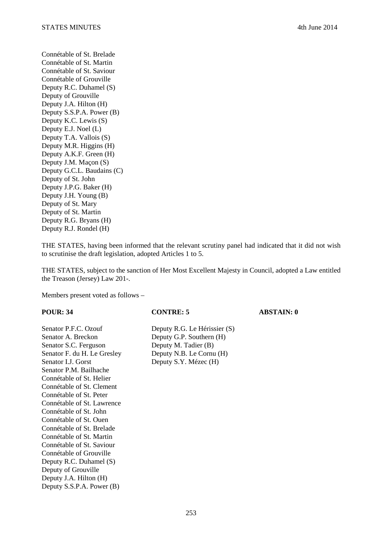Connétable of St. Brelade Connétable of St. Martin Connétable of St. Saviour Connétable of Grouville Deputy R.C. Duhamel (S) Deputy of Grouville Deputy J.A. Hilton (H) Deputy S.S.P.A. Power (B) Deputy K.C. Lewis (S) Deputy E.J. Noel (L) Deputy T.A. Vallois (S) Deputy M.R. Higgins (H) Deputy A.K.F. Green (H) Deputy J.M. Maçon (S) Deputy G.C.L. Baudains (C) Deputy of St. John Deputy J.P.G. Baker (H) Deputy J.H. Young (B) Deputy of St. Mary Deputy of St. Martin Deputy R.G. Bryans (H) Deputy R.J. Rondel (H)

THE STATES, having been informed that the relevant scrutiny panel had indicated that it did not wish to scrutinise the draft legislation, adopted Articles 1 to 5.

THE STATES, subject to the sanction of Her Most Excellent Majesty in Council, adopted a Law entitled the Treason (Jersey) Law 201-.

Members present voted as follows –

Senator P.F.C. Ozouf Deputy R.G. Le Hérissier (S) Senator A. Breckon Deputy G.P. Southern (H) Senator S.C. Ferguson Deputy M. Tadier (B) Senator F. du H. Le Gresley Deputy N.B. Le Cornu (H) Senator I.J. Gorst Deputy S.Y. Mézec (H) Senator P.M. Bailhache Connétable of St. Helier Connétable of St. Clement Connétable of St. Peter Connétable of St. Lawrence Connétable of St. John Connétable of St. Ouen Connétable of St. Brelade Connétable of St. Martin Connétable of St. Saviour Connétable of Grouville Deputy R.C. Duhamel (S) Deputy of Grouville Deputy J.A. Hilton (H) Deputy S.S.P.A. Power (B)

### **POUR: 34 CONTRE: 5 ABSTAIN: 0**

253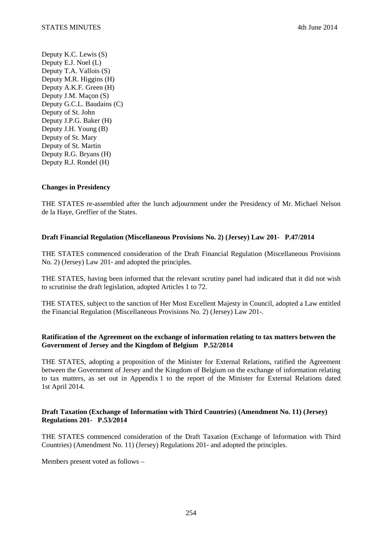Deputy K.C. Lewis (S) Deputy E.J. Noel (L) Deputy T.A. Vallois (S) Deputy M.R. Higgins (H) Deputy A.K.F. Green (H) Deputy J.M. Maçon (S) Deputy G.C.L. Baudains (C) Deputy of St. John Deputy J.P.G. Baker (H) Deputy J.H. Young (B) Deputy of St. Mary Deputy of St. Martin Deputy R.G. Bryans (H) Deputy R.J. Rondel (H)

### **Changes in Presidency**

THE STATES re-assembled after the lunch adjournment under the Presidency of Mr. Michael Nelson de la Haye, Greffier of the States.

### **Draft Financial Regulation (Miscellaneous Provisions No. 2) (Jersey) Law 201- P.47/2014**

THE STATES commenced consideration of the Draft Financial Regulation (Miscellaneous Provisions No. 2) (Jersey) Law 201- and adopted the principles.

THE STATES, having been informed that the relevant scrutiny panel had indicated that it did not wish to scrutinise the draft legislation, adopted Articles 1 to 72.

THE STATES, subject to the sanction of Her Most Excellent Majesty in Council, adopted a Law entitled the Financial Regulation (Miscellaneous Provisions No. 2) (Jersey) Law 201-.

### **Ratification of the Agreement on the exchange of information relating to tax matters between the Government of Jersey and the Kingdom of Belgium P.52/2014**

THE STATES, adopting a proposition of the Minister for External Relations, ratified the Agreement between the Government of Jersey and the Kingdom of Belgium on the exchange of information relating to tax matters, as set out in Appendix 1 to the report of the Minister for External Relations dated 1st April 2014.

# **Draft Taxation (Exchange of Information with Third Countries) (Amendment No. 11) (Jersey) Regulations 201- P.53/2014**

THE STATES commenced consideration of the Draft Taxation (Exchange of Information with Third Countries) (Amendment No. 11) (Jersey) Regulations 201- and adopted the principles.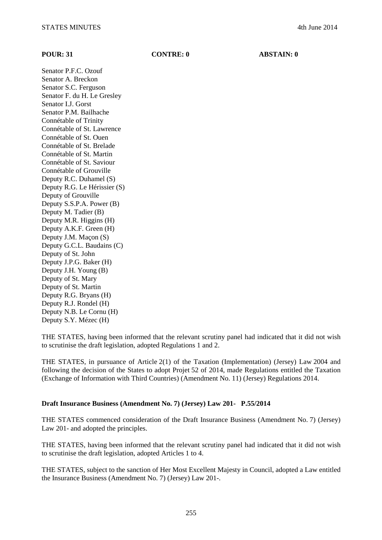**POUR: 31 CONTRE: 0 ABSTAIN: 0** 

Senator P.F.C. Ozouf Senator A. Breckon Senator S.C. Ferguson Senator F. du H. Le Gresley Senator I.J. Gorst Senator P.M. Bailhache Connétable of Trinity Connétable of St. Lawrence Connétable of St. Ouen Connétable of St. Brelade Connétable of St. Martin Connétable of St. Saviour Connétable of Grouville Deputy R.C. Duhamel (S) Deputy R.G. Le Hérissier (S) Deputy of Grouville Deputy S.S.P.A. Power (B) Deputy M. Tadier (B) Deputy M.R. Higgins (H) Deputy A.K.F. Green (H) Deputy J.M. Maçon (S) Deputy G.C.L. Baudains (C) Deputy of St. John Deputy J.P.G. Baker (H) Deputy J.H. Young (B) Deputy of St. Mary Deputy of St. Martin Deputy R.G. Bryans (H) Deputy R.J. Rondel (H) Deputy N.B. Le Cornu (H) Deputy S.Y. Mézec (H)

THE STATES, having been informed that the relevant scrutiny panel had indicated that it did not wish to scrutinise the draft legislation, adopted Regulations 1 and 2.

THE STATES, in pursuance of Article 2(1) of the Taxation (Implementation) (Jersey) Law 2004 and following the decision of the States to adopt Projet 52 of 2014, made Regulations entitled the Taxation (Exchange of Information with Third Countries) (Amendment No. 11) (Jersey) Regulations 2014.

### **Draft Insurance Business (Amendment No. 7) (Jersey) Law 201- P.55/2014**

THE STATES commenced consideration of the Draft Insurance Business (Amendment No. 7) (Jersey) Law 201- and adopted the principles.

THE STATES, having been informed that the relevant scrutiny panel had indicated that it did not wish to scrutinise the draft legislation, adopted Articles 1 to 4.

THE STATES, subject to the sanction of Her Most Excellent Majesty in Council, adopted a Law entitled the Insurance Business (Amendment No. 7) (Jersey) Law 201-.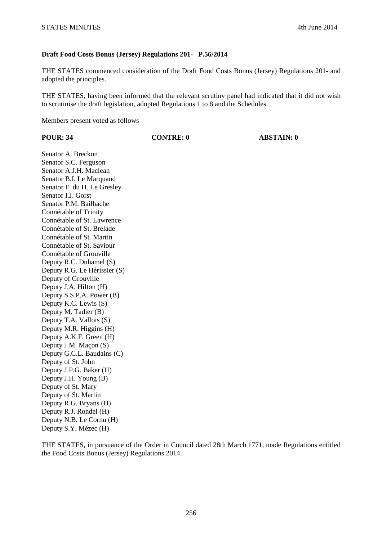# **Draft Food Costs Bonus (Jersey) Regulations 201- P.56/2014**

THE STATES commenced consideration of the Draft Food Costs Bonus (Jersey) Regulations 201- and adopted the principles.

THE STATES, having been informed that the relevant scrutiny panel had indicated that it did not wish to scrutinise the draft legislation, adopted Regulations 1 to 8 and the Schedules.

Members present voted as follows –

| <b>POUR: 34</b> |  |
|-----------------|--|
|                 |  |

**PONTRE: 0 ABSTAIN: 0** 

Senator A. Breckon Senator S.C. Ferguson Senator A.J.H. Maclean Senator B.I. Le Marquand Senator F. du H. Le Gresley Senator I.J. Gorst Senator P.M. Bailhache Connétable of Trinity Connétable of St. Lawrence Connétable of St. Brelade Connétable of St. Martin Connétable of St. Saviour Connétable of Grouville Deputy R.C. Duhamel (S) Deputy R.G. Le Hérissier (S) Deputy of Grouville Deputy J.A. Hilton (H) Deputy S.S.P.A. Power (B) Deputy K.C. Lewis (S) Deputy M. Tadier (B) Deputy T.A. Vallois (S) Deputy M.R. Higgins (H) Deputy A.K.F. Green (H) Deputy J.M. Maçon (S) Deputy G.C.L. Baudains (C) Deputy of St. John Deputy J.P.G. Baker (H) Deputy J.H. Young (B) Deputy of St. Mary Deputy of St. Martin Deputy R.G. Bryans (H) Deputy R.J. Rondel (H) Deputy N.B. Le Cornu (H) Deputy S.Y. Mézec (H)

THE STATES, in pursuance of the Order in Council dated 28th March 1771, made Regulations entitled the Food Costs Bonus (Jersey) Regulations 2014.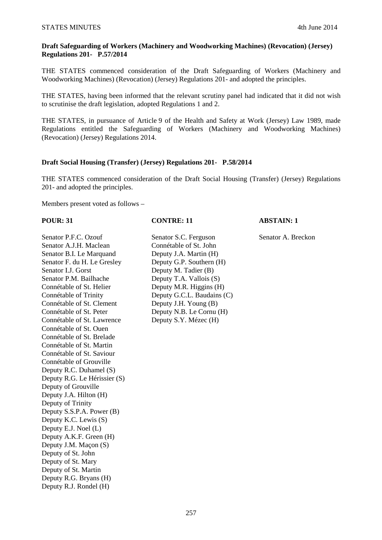# **Draft Safeguarding of Workers (Machinery and Woodworking Machines) (Revocation) (Jersey) Regulations 201- P.57/2014**

THE STATES commenced consideration of the Draft Safeguarding of Workers (Machinery and Woodworking Machines) (Revocation) (Jersey) Regulations 201- and adopted the principles.

THE STATES, having been informed that the relevant scrutiny panel had indicated that it did not wish to scrutinise the draft legislation, adopted Regulations 1 and 2.

THE STATES, in pursuance of Article 9 of the Health and Safety at Work (Jersey) Law 1989, made Regulations entitled the Safeguarding of Workers (Machinery and Woodworking Machines) (Revocation) (Jersey) Regulations 2014.

# **Draft Social Housing (Transfer) (Jersey) Regulations 201- P.58/2014**

THE STATES commenced consideration of the Draft Social Housing (Transfer) (Jersey) Regulations 201- and adopted the principles.

Members present voted as follows –

Senator A.J.H. Maclean Connétable of St. John Senator B.I. Le Marquand Deputy J.A. Martin (H) Senator F. du H. Le Gresley Deputy G.P. Southern (H) Senator I.J. Gorst Deputy M. Tadier (B) Senator P.M. Bailhache Deputy T.A. Vallois (S) Connétable of St. Helier Deputy M.R. Higgins (H) Connétable of Trinity Deputy G.C.L. Baudains (C) Connétable of St. Clement Deputy J.H. Young (B) Connétable of St. Peter Deputy N.B. Le Cornu (H) Connétable of St. Lawrence Deputy S.Y. Mézec (H) Connétable of St. Ouen Connétable of St. Brelade Connétable of St. Martin Connétable of St. Saviour Connétable of Grouville Deputy R.C. Duhamel (S) Deputy R.G. Le Hérissier (S) Deputy of Grouville Deputy J.A. Hilton (H) Deputy of Trinity Deputy S.S.P.A. Power (B) Deputy K.C. Lewis (S) Deputy E.J. Noel (L) Deputy A.K.F. Green (H) Deputy J.M. Maçon (S) Deputy of St. John Deputy of St. Mary Deputy of St. Martin Deputy R.G. Bryans (H) Deputy R.J. Rondel (H)

**POUR: 31 CONTRE: 11 ABSTAIN: 1** 

Senator P.F.C. Ozouf Senator S.C. Ferguson Senator A. Breckon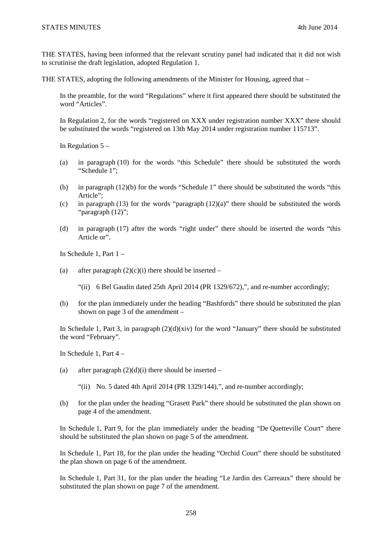THE STATES, having been informed that the relevant scrutiny panel had indicated that it did not wish to scrutinise the draft legislation, adopted Regulation 1.

THE STATES, adopting the following amendments of the Minister for Housing, agreed that –

In the preamble, for the word "Regulations" where it first appeared there should be substituted the word "Articles".

In Regulation 2, for the words "registered on XXX under registration number XXX" there should be substituted the words "registered on 13th May 2014 under registration number 115713".

In Regulation  $5 -$ 

- (a) in paragraph (10) for the words "this Schedule" there should be substituted the words "Schedule 1";
- (b) in paragraph (12)(b) for the words "Schedule 1" there should be substituted the words "this Article";
- (c) in paragraph (13) for the words "paragraph  $(12)(a)$ " there should be substituted the words "paragraph (12)";
- (d) in paragraph (17) after the words "right under" there should be inserted the words "this Article or".

In Schedule 1, Part 1 –

- (a) after paragraph  $(2)(c)(i)$  there should be inserted
	- "(ii) 6 Bel Gaudin dated 25th April 2014 (PR 1329/672),", and re-number accordingly;
- (b) for the plan immediately under the heading "Bashfords" there should be substituted the plan shown on page 3 of the amendment –

In Schedule 1, Part 3, in paragraph  $(2)(d)(\dot{x}iv)$  for the word "January" there should be substituted the word "February".

In Schedule 1, Part 4 –

(a) after paragraph  $(2)(d)(i)$  there should be inserted –

"(ii) No. 5 dated 4th April 2014 (PR 1329/144),", and re-number accordingly;

(b) for the plan under the heading "Grasett Park" there should be substituted the plan shown on page 4 of the amendment.

In Schedule 1, Part 9, for the plan immediately under the heading "De Quetteville Court" there should be substituted the plan shown on page 5 of the amendment.

In Schedule 1, Part 18, for the plan under the heading "Orchid Court" there should be substituted the plan shown on page 6 of the amendment.

In Schedule 1, Part 31, for the plan under the heading "Le Jardin des Carreaux" there should be substituted the plan shown on page 7 of the amendment.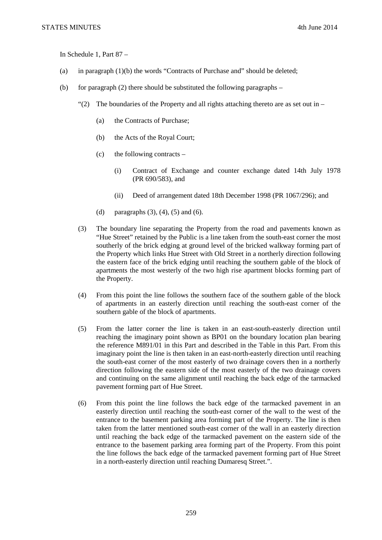In Schedule 1, Part 87 –

- (a) in paragraph (1)(b) the words "Contracts of Purchase and" should be deleted;
- (b) for paragraph (2) there should be substituted the following paragraphs
	- "(2) The boundaries of the Property and all rights attaching thereto are as set out in
		- (a) the Contracts of Purchase;
		- (b) the Acts of the Royal Court;
		- (c) the following contracts
			- (i) Contract of Exchange and counter exchange dated 14th July 1978 (PR 690/583), and
			- (ii) Deed of arrangement dated 18th December 1998 (PR 1067/296); and
		- (d) paragraphs  $(3)$ ,  $(4)$ ,  $(5)$  and  $(6)$ .
	- (3) The boundary line separating the Property from the road and pavements known as "Hue Street" retained by the Public is a line taken from the south-east corner the most southerly of the brick edging at ground level of the bricked walkway forming part of the Property which links Hue Street with Old Street in a northerly direction following the eastern face of the brick edging until reaching the southern gable of the block of apartments the most westerly of the two high rise apartment blocks forming part of the Property.
	- (4) From this point the line follows the southern face of the southern gable of the block of apartments in an easterly direction until reaching the south-east corner of the southern gable of the block of apartments.
	- (5) From the latter corner the line is taken in an east-south-easterly direction until reaching the imaginary point shown as BP01 on the boundary location plan bearing the reference M891/01 in this Part and described in the Table in this Part. From this imaginary point the line is then taken in an east-north-easterly direction until reaching the south-east corner of the most easterly of two drainage covers then in a northerly direction following the eastern side of the most easterly of the two drainage covers and continuing on the same alignment until reaching the back edge of the tarmacked pavement forming part of Hue Street.
	- (6) From this point the line follows the back edge of the tarmacked pavement in an easterly direction until reaching the south-east corner of the wall to the west of the entrance to the basement parking area forming part of the Property. The line is then taken from the latter mentioned south-east corner of the wall in an easterly direction until reaching the back edge of the tarmacked pavement on the eastern side of the entrance to the basement parking area forming part of the Property. From this point the line follows the back edge of the tarmacked pavement forming part of Hue Street in a north-easterly direction until reaching Dumaresq Street.".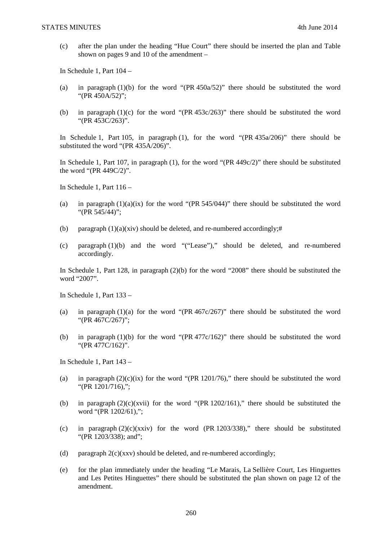(c) after the plan under the heading "Hue Court" there should be inserted the plan and Table shown on pages 9 and 10 of the amendment –

In Schedule 1, Part 104 –

- (a) in paragraph (1)(b) for the word "(PR 450a/52)" there should be substituted the word "(PR 450A/52)";
- (b) in paragraph (1)(c) for the word "(PR 453c/263)" there should be substituted the word "(PR 453C/263)".

In Schedule 1, Part 105, in paragraph (1), for the word "(PR 435a/206)" there should be substituted the word "(PR 435A/206)".

In Schedule 1, Part 107, in paragraph (1), for the word "(PR 449c/2)" there should be substituted the word "(PR 449C/2)".

In Schedule 1, Part 116 –

- (a) in paragraph  $(1)(a)(ix)$  for the word "(PR 545/044)" there should be substituted the word "(PR 545/44)";
- (b) paragraph  $(1)(a)(xiv)$  should be deleted, and re-numbered accordingly;#
- (c) paragraph (1)(b) and the word "("Lease")," should be deleted, and re-numbered accordingly.

In Schedule 1, Part 128, in paragraph (2)(b) for the word "2008" there should be substituted the word "2007".

In Schedule 1, Part 133 –

- (a) in paragraph  $(1)(a)$  for the word "(PR 467c/267)" there should be substituted the word "(PR 467C/267)";
- (b) in paragraph (1)(b) for the word "(PR 477c/162)" there should be substituted the word "(PR 477C/162)".

In Schedule 1, Part 143 –

- (a) in paragraph  $(2)(c)(ix)$  for the word "(PR 1201/76)," there should be substituted the word "(PR 1201/716),";
- (b) in paragraph  $(2)(c)(xvii)$  for the word "(PR 1202/161)," there should be substituted the word "(PR 1202/61),";
- (c) in paragraph  $(2)(c)(xxiv)$  for the word (PR 1203/338)," there should be substituted "(PR 1203/338); and";
- (d) paragraph  $2(c)(xxv)$  should be deleted, and re-numbered accordingly;
- (e) for the plan immediately under the heading "Le Marais, La Sellière Court, Les Hinguettes and Les Petites Hinguettes" there should be substituted the plan shown on page 12 of the amendment.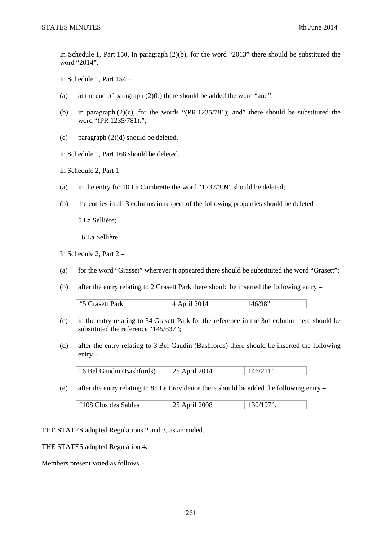In Schedule 1, Part 150, in paragraph (2)(b), for the word "2013" there should be substituted the word "2014".

In Schedule 1, Part 154 –

- (a) at the end of paragraph  $(2)(b)$  there should be added the word "and";
- (b) in paragraph (2)(c), for the words "(PR 1235/781); and" there should be substituted the word "(PR 1235/781).";
- (c) paragraph (2)(d) should be deleted.

In Schedule 1, Part 168 should be deleted.

In Schedule 2, Part 1 –

- (a) in the entry for 10 La Cambrette the word "1237/309" should be deleted;
- (b) the entries in all 3 columns in respect of the following properties should be deleted –

5 La Sellière;

16 La Sellière.

In Schedule 2, Part 2 –

- (a) for the word "Grasset" wherever it appeared there should be substituted the word "Grasett";
- (b) after the entry relating to 2 Grasett Park there should be inserted the following entry –

| $\rightarrow$ ++ Park<br>66E | $\Lambda$ A mull $\Omega$ 0.1 $\Lambda$ | C/0.0 |
|------------------------------|-----------------------------------------|-------|
|                              |                                         |       |

- (c) in the entry relating to 54 Grasett Park for the reference in the 3rd column there should be substituted the reference "145/837":
- (d) after the entry relating to 3 Bel Gaudin (Bashfords) there should be inserted the following entry –

"6 Bel Gaudin (Bashfords)  $\begin{array}{|c|c|c|c|c|c|c|c|c|c|c|c|}\n\hline\n & 25 & 25 & 2014 & 146/211" \\\hline\n\end{array}$ 

(e) after the entry relating to 85 La Providence there should be added the following entry –

|  | "108 Clos des Sables" | 25 April 2008 | $\pm 130/197$ " |
|--|-----------------------|---------------|-----------------|
|--|-----------------------|---------------|-----------------|

THE STATES adopted Regulations 2 and 3, as amended.

THE STATES adopted Regulation 4.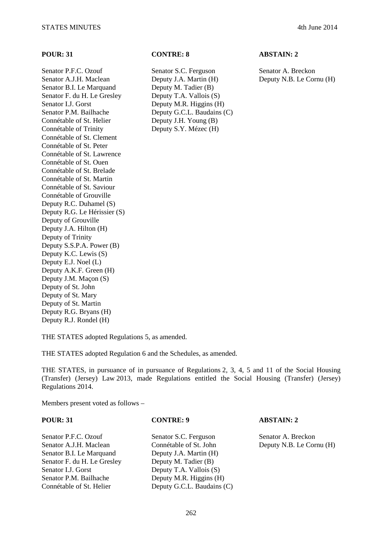Senator P.F.C. Ozouf Senator S.C. Ferguson Senator A. Breckon Senator A.J.H. Maclean Deputy J.A. Martin (H) Deputy N.B. Le Cornu (H) Senator B.I. Le Marquand Deputy M. Tadier (B) Senator F. du H. Le Gresley Deputy T.A. Vallois (S) Senator I.J. Gorst Deputy M.R. Higgins (H) Senator P.M. Bailhache Deputy G.C.L. Baudains (C) Connétable of St. Helier Deputy J.H. Young (B) Connétable of Trinity Deputy S.Y. Mézec (H) Connétable of St. Clement Connétable of St. Peter Connétable of St. Lawrence Connétable of St. Ouen Connétable of St. Brelade Connétable of St. Martin Connétable of St. Saviour Connétable of Grouville Deputy R.C. Duhamel (S) Deputy R.G. Le Hérissier (S) Deputy of Grouville Deputy J.A. Hilton (H) Deputy of Trinity Deputy S.S.P.A. Power (B) Deputy K.C. Lewis (S) Deputy E.J. Noel (L) Deputy A.K.F. Green (H) Deputy J.M. Maçon (S) Deputy of St. John Deputy of St. Mary Deputy of St. Martin Deputy R.G. Bryans (H) Deputy R.J. Rondel (H)

# **POUR: 31 CONTRE: 8 ABSTAIN: 2**

THE STATES adopted Regulations 5, as amended.

THE STATES adopted Regulation 6 and the Schedules, as amended.

THE STATES, in pursuance of in pursuance of Regulations 2, 3, 4, 5 and 11 of the Social Housing (Transfer) (Jersey) Law 2013, made Regulations entitled the Social Housing (Transfer) (Jersey) Regulations 2014.

Members present voted as follows –

**POUR: 31 CONTRE: 9 ABSTAIN: 2** 

Senator P.F.C. Ozouf Senator S.C. Ferguson Senator A. Breckon Senator A.J.H. Maclean Connétable of St. John Deputy N.B. Le Cornu (H) Senator B.I. Le Marquand Deputy J.A. Martin (H) Senator F. du H. Le Gresley Deputy M. Tadier (B) Senator I.J. Gorst Deputy T.A. Vallois (S) Senator P.M. Bailhache Deputy M.R. Higgins (H) Connétable of St. Helier Deputy G.C.L. Baudains (C)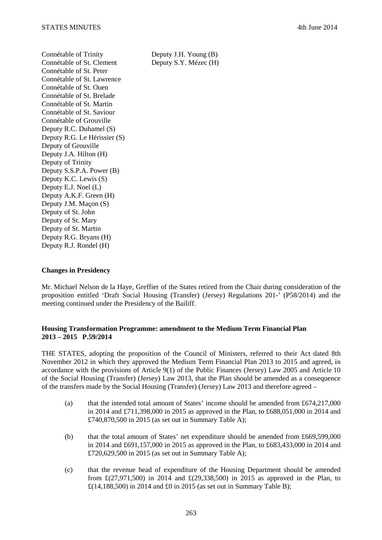Connétable of Trinity Deputy J.H. Young (B) Connétable of St. Clement Deputy S.Y. Mézec (H) Connétable of St. Peter Connétable of St. Lawrence Connétable of St. Ouen Connétable of St. Brelade Connétable of St. Martin Connétable of St. Saviour Connétable of Grouville Deputy R.C. Duhamel (S) Deputy R.G. Le Hérissier (S) Deputy of Grouville Deputy J.A. Hilton (H) Deputy of Trinity Deputy S.S.P.A. Power (B) Deputy K.C. Lewis (S) Deputy E.J. Noel (L) Deputy A.K.F. Green (H) Deputy J.M. Maçon (S) Deputy of St. John Deputy of St. Mary Deputy of St. Martin Deputy R.G. Bryans (H) Deputy R.J. Rondel (H)

# **Changes in Presidency**

Mr. Michael Nelson de la Haye, Greffier of the States retired from the Chair during consideration of the proposition entitled 'Draft Social Housing (Transfer) (Jersey) Regulations 201-' (P58/2014) and the meeting continued under the Presidency of the Bailiff.

# **Housing Transformation Programme: amendment to the Medium Term Financial Plan 2013 – 2015 P.59/2014**

THE STATES, adopting the proposition of the Council of Ministers, referred to their Act dated 8th November 2012 in which they approved the Medium Term Financial Plan 2013 to 2015 and agreed, in accordance with the provisions of Article 9(1) of the Public Finances (Jersey) Law 2005 and Article 10 of the Social Housing (Transfer) (Jersey) Law 2013, that the Plan should be amended as a consequence of the transfers made by the Social Housing (Transfer) (Jersey) Law 2013 and therefore agreed –

- (a) that the intended total amount of States' income should be amended from £674,217,000 in 2014 and £711,398,000 in 2015 as approved in the Plan, to £688,051,000 in 2014 and £740,870,500 in 2015 (as set out in Summary Table A);
- (b) that the total amount of States' net expenditure should be amended from £669,599,000 in 2014 and £691,157,000 in 2015 as approved in the Plan, to £683,433,000 in 2014 and £720,629,500 in 2015 (as set out in Summary Table A);
- (c) that the revenue head of expenditure of the Housing Department should be amended from  $\pounds(27,971,500)$  in 2014 and  $\pounds(29,338,500)$  in 2015 as approved in the Plan, to £(14,188,500) in 2014 and £0 in 2015 (as set out in Summary Table B);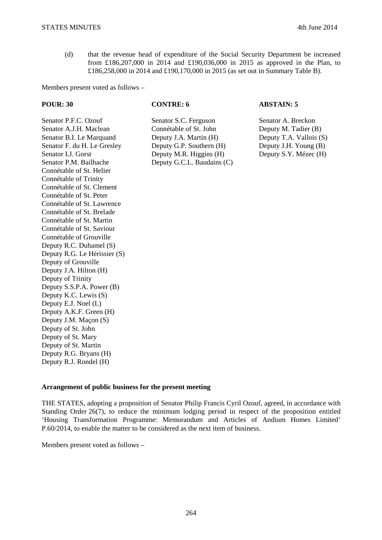(d) that the revenue head of expenditure of the Social Security Department be increased from £186,207,000 in 2014 and £190,036,000 in 2015 as approved in the Plan, to £186,258,000 in 2014 and £190,170,000 in 2015 (as set out in Summary Table B).

Members present voted as follows –

### **POUR: 30 CONTRE: 6 ABSTAIN: 5**

Senator A.J.H. Maclean Connétable of St. John Deputy M. Tadier (B) Senator B.I. Le Marquand Deputy J.A. Martin (H) Deputy T.A. Vallois (S) Senator F. du H. Le Gresley Deputy G.P. Southern (H) Deputy J.H. Young (B)<br>Senator I.J. Gorst Deputy M.R. Higgins (H) Deputy S.Y. Mézec (H) Senator I.J. Gorst Deputy M.R. Higgins (H) Senator P.M. Bailhache Deputy G.C.L. Baudains (C) Connétable of St. Helier Connétable of Trinity Connétable of St. Clement Connétable of St. Peter Connétable of St. Lawrence Connétable of St. Brelade Connétable of St. Martin Connétable of St. Saviour Connétable of Grouville Deputy R.C. Duhamel (S) Deputy R.G. Le Hérissier (S) Deputy of Grouville Deputy J.A. Hilton (H) Deputy of Trinity Deputy S.S.P.A. Power (B) Deputy K.C. Lewis (S) Deputy E.J. Noel (L) Deputy A.K.F. Green (H) Deputy J.M. Maçon (S) Deputy of St. John Deputy of St. Mary Deputy of St. Martin Deputy R.G. Bryans (H) Deputy R.J. Rondel (H)

Senator P.F.C. Ozouf Senator S.C. Ferguson Senator A. Breckon

### **Arrangement of public business for the present meeting**

THE STATES, adopting a proposition of Senator Philip Francis Cyril Ozouf, agreed, in accordance with Standing Order 26(7), to reduce the minimum lodging period in respect of the proposition entitled 'Housing Transformation Programme: Memorandum and Articles of Andium Homes Limited' P.60/2014, to enable the matter to be considered as the next item of business.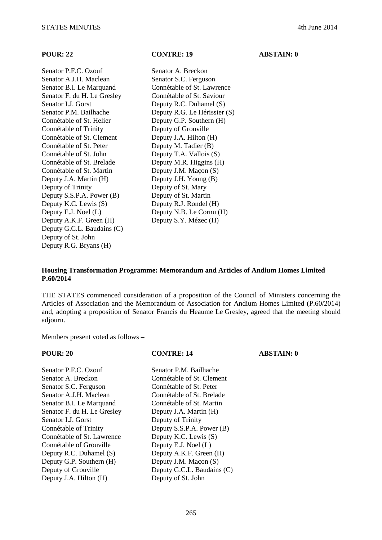**POUR: 22 CONTRE: 19 ABSTAIN: 0** 

Senator P.F.C. Ozouf Senator A. Breckon Senator A.J.H. Maclean Senator S.C. Ferguson Senator B.I. Le Marquand Connétable of St. Lawrence Senator F. du H. Le Gresley Connétable of St. Saviour Senator I.J. Gorst Deputy R.C. Duhamel (S) Senator P.M. Bailhache Deputy R.G. Le Hérissier (S) Connétable of St. Helier Deputy G.P. Southern (H) Connétable of Trinity Deputy of Grouville Connétable of St. Clement Deputy J.A. Hilton (H) Connétable of St. Peter Deputy M. Tadier (B) Connétable of St. John Deputy T.A. Vallois (S) Connétable of St. Brelade Deputy M.R. Higgins (H) Connétable of St. Martin Deputy J.M. Maçon (S) Deputy J.A. Martin (H) Deputy J.H. Young (B) Deputy of Trinity Deputy of St. Mary Deputy S.S.P.A. Power (B) Deputy of St. Martin Deputy K.C. Lewis (S) Deputy R.J. Rondel (H) Deputy E.J. Noel (L) Deputy N.B. Le Cornu (H) Deputy A.K.F. Green (H) Deputy S.Y. Mézec (H) Deputy G.C.L. Baudains (C) Deputy of St. John Deputy R.G. Bryans (H)

## **Housing Transformation Programme: Memorandum and Articles of Andium Homes Limited P.60/2014**

THE STATES commenced consideration of a proposition of the Council of Ministers concerning the Articles of Association and the Memorandum of Association for Andium Homes Limited (P.60/2014) and, adopting a proposition of Senator Francis du Heaume Le Gresley, agreed that the meeting should adjourn.

| <b>POUR: 20</b>             | <b>CONTRE: 14</b>          | <b>ABSTAIN: 0</b> |
|-----------------------------|----------------------------|-------------------|
| Senator P.F.C. Ozouf        | Senator P.M. Bailhache     |                   |
| Senator A. Breckon          | Connétable of St. Clement  |                   |
| Senator S.C. Ferguson       | Connétable of St. Peter    |                   |
| Senator A.J.H. Maclean      | Connétable of St. Brelade  |                   |
| Senator B.I. Le Marquand    | Connétable of St. Martin   |                   |
| Senator F. du H. Le Gresley | Deputy J.A. Martin (H)     |                   |
| Senator I.J. Gorst          | Deputy of Trinity          |                   |
| Connétable of Trinity       | Deputy S.S.P.A. Power (B)  |                   |
| Connétable of St. Lawrence  | Deputy K.C. Lewis (S)      |                   |
| Connétable of Grouville     | Deputy E.J. Noel (L)       |                   |
| Deputy R.C. Duhamel (S)     | Deputy A.K.F. Green (H)    |                   |
| Deputy G.P. Southern (H)    | Deputy J.M. Maçon (S)      |                   |
| Deputy of Grouville         | Deputy G.C.L. Baudains (C) |                   |
| Deputy J.A. Hilton (H)      | Deputy of St. John         |                   |